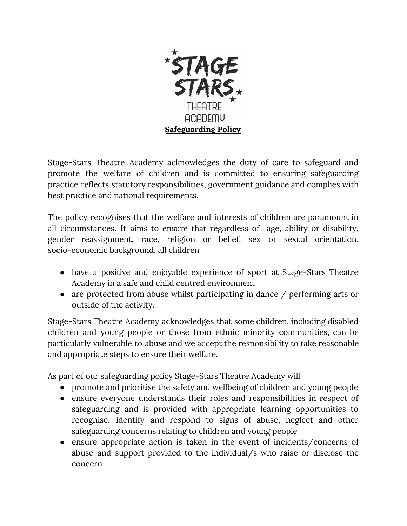

Stage-Stars Theatre Academy acknowledges the duty of care to safeguard and promote the welfare of children and is committed to ensuring safeguarding practice reflects statutory responsibilities, government guidance and complies with best practice and national requirements.

The policy recognises that the welfare and interests of children are paramount in all circumstances. It aims to ensure that regardless of age, ability or disability, gender reassignment, race, religion or belief, sex or sexual orientation, socio-economic background, all children

- have a positive and enjoyable experience of sport at Stage-Stars Theatre Academy in a safe and child centred environment
- are protected from abuse whilst participating in dance / performing arts or outside of the activity.

Stage-Stars Theatre Academy acknowledges that some children, including disabled children and young people or those from ethnic minority communities, can be particularly vulnerable to abuse and we accept the responsibility to take reasonable and appropriate steps to ensure their welfare.

As part of our safeguarding policy Stage-Stars Theatre Academy will

- promote and prioritise the safety and wellbeing of children and young people
- ensure everyone understands their roles and responsibilities in respect of safeguarding and is provided with appropriate learning opportunities to recognise, identify and respond to signs of abuse, neglect and other safeguarding concerns relating to children and young people
- ensure appropriate action is taken in the event of incidents/concerns of abuse and support provided to the individual/s who raise or disclose the concern